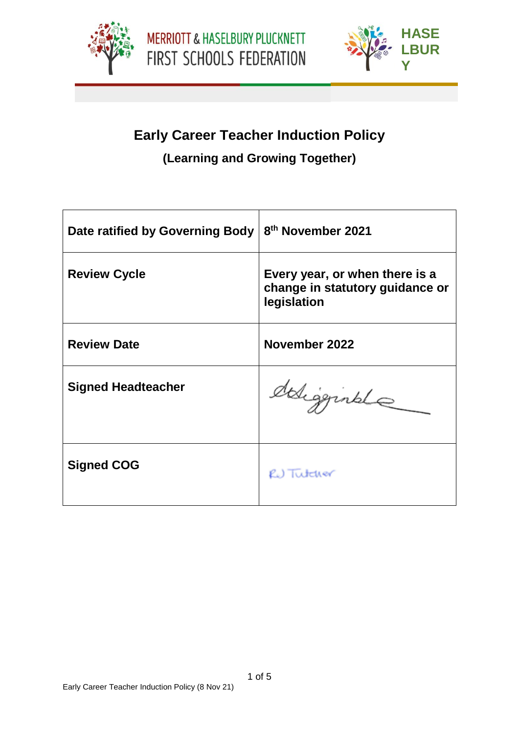



**PLUC**

# **Early Career Teacher Induction Policy**

# **(Learning and Growing Together)**

| Date ratified by Governing Body | 8 <sup>th</sup> November 2021                                                    |
|---------------------------------|----------------------------------------------------------------------------------|
| <b>Review Cycle</b>             | Every year, or when there is a<br>change in statutory guidance or<br>legislation |
| <b>Review Date</b>              | November 2022                                                                    |
| <b>Signed Headteacher</b>       | deligginale                                                                      |
| <b>Signed COG</b>               | RU Tutcher                                                                       |

1 of 5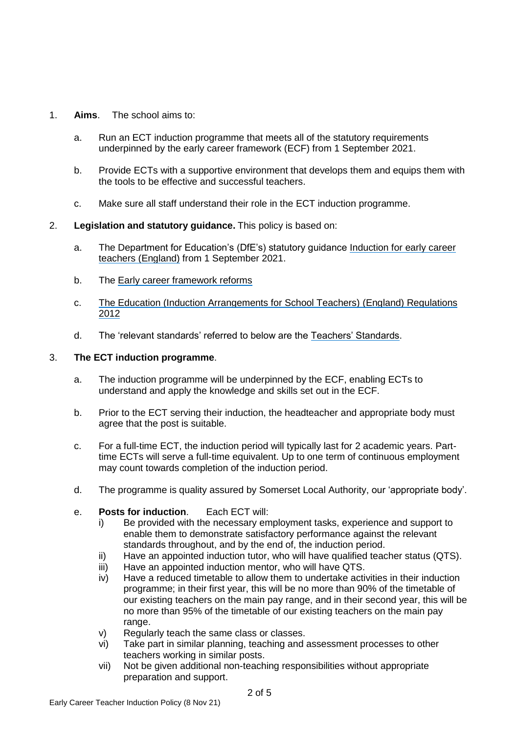- 1. **Aims**. The school aims to:
	- a. Run an ECT induction programme that meets all of the statutory requirements underpinned by the early career framework (ECF) from 1 September 2021.
	- b. Provide ECTs with a supportive environment that develops them and equips them with the tools to be effective and successful teachers.
	- c. Make sure all staff understand their role in the ECT induction programme.
- 2. **Legislation and statutory guidance.** This policy is based on:
	- a. The Department for Education's (DfE's) statutory guidance [Induction for early career](https://www.gov.uk/government/publications/induction-for-early-career-teachers-england)  [teachers \(England\)](https://www.gov.uk/government/publications/induction-for-early-career-teachers-england) from 1 September 2021.
	- b. The [Early career framework reforms](https://www.gov.uk/government/collections/early-career-framework-reforms)
	- c. [The Education \(Induction Arrangements for School Teachers\)](http://www.legislation.gov.uk/uksi/2012/1115/contents/made) (England) Regulations [2012](http://www.legislation.gov.uk/uksi/2012/1115/contents/made)
	- d. The 'relevant standards' referred to below are the [Teachers' Standards.](https://www.gov.uk/government/publications/teachers-standards)

# 3. **The ECT induction programme**.

- a. The induction programme will be underpinned by the ECF, enabling ECTs to understand and apply the knowledge and skills set out in the ECF.
- b. Prior to the ECT serving their induction, the headteacher and appropriate body must agree that the post is suitable.
- c. For a full-time ECT, the induction period will typically last for 2 academic years. Parttime ECTs will serve a full-time equivalent. Up to one term of continuous employment may count towards completion of the induction period.
- d. The programme is quality assured by Somerset Local Authority, our 'appropriate body'.
- e. **Posts for induction**. Each ECT will:
	- i) Be provided with the necessary employment tasks, experience and support to enable them to demonstrate satisfactory performance against the relevant standards throughout, and by the end of, the induction period.
	- ii) Have an appointed induction tutor, who will have qualified teacher status (QTS).
	- iii) Have an appointed induction mentor, who will have QTS.
	- iv) Have a reduced timetable to allow them to undertake activities in their induction programme; in their first year, this will be no more than 90% of the timetable of our existing teachers on the main pay range, and in their second year, this will be no more than 95% of the timetable of our existing teachers on the main pay range.
	- v) Regularly teach the same class or classes.
	- vi) Take part in similar planning, teaching and assessment processes to other teachers working in similar posts.
	- vii) Not be given additional non-teaching responsibilities without appropriate preparation and support.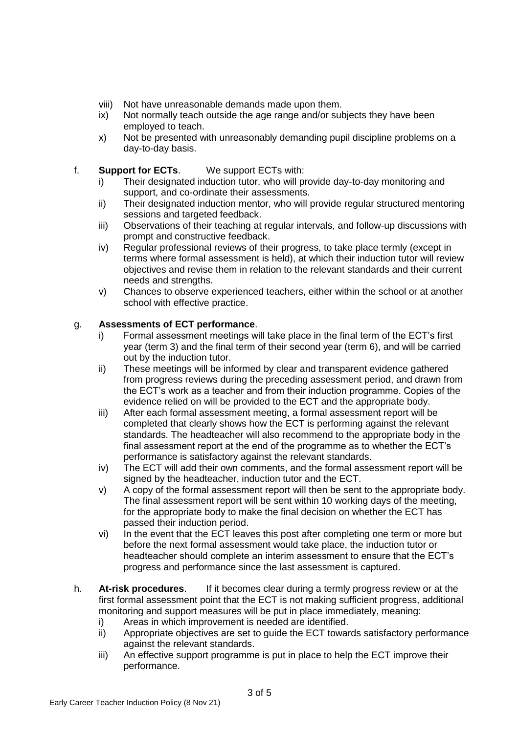- viii) Not have unreasonable demands made upon them.
- ix) Not normally teach outside the age range and/or subjects they have been employed to teach.
- x) Not be presented with unreasonably demanding pupil discipline problems on a day-to-day basis.
- f. **Support for ECTs**. We support ECTs with:
	- i) Their designated induction tutor, who will provide day-to-day monitoring and support, and co-ordinate their assessments.
	- ii) Their designated induction mentor, who will provide regular structured mentoring sessions and targeted feedback.
	- iii) Observations of their teaching at regular intervals, and follow-up discussions with prompt and constructive feedback.
	- iv) Regular professional reviews of their progress, to take place termly (except in terms where formal assessment is held), at which their induction tutor will review objectives and revise them in relation to the relevant standards and their current needs and strengths.
	- v) Chances to observe experienced teachers, either within the school or at another school with effective practice.

# g. **Assessments of ECT performance**.

- i) Formal assessment meetings will take place in the final term of the ECT's first year (term 3) and the final term of their second year (term 6), and will be carried out by the induction tutor.
- ii) These meetings will be informed by clear and transparent evidence gathered from progress reviews during the preceding assessment period, and drawn from the ECT's work as a teacher and from their induction programme. Copies of the evidence relied on will be provided to the ECT and the appropriate body.
- iii) After each formal assessment meeting, a formal assessment report will be completed that clearly shows how the ECT is performing against the relevant standards. The headteacher will also recommend to the appropriate body in the final assessment report at the end of the programme as to whether the ECT's performance is satisfactory against the relevant standards.
- iv) The ECT will add their own comments, and the formal assessment report will be signed by the headteacher, induction tutor and the ECT.
- v) A copy of the formal assessment report will then be sent to the appropriate body. The final assessment report will be sent within 10 working days of the meeting, for the appropriate body to make the final decision on whether the ECT has passed their induction period.
- vi) In the event that the ECT leaves this post after completing one term or more but before the next formal assessment would take place, the induction tutor or headteacher should complete an interim assessment to ensure that the ECT's progress and performance since the last assessment is captured.
- h. **At-risk procedures**. If it becomes clear during a termly progress review or at the first formal assessment point that the ECT is not making sufficient progress, additional monitoring and support measures will be put in place immediately, meaning:
	- i) Areas in which improvement is needed are identified.
	- ii) Appropriate objectives are set to guide the ECT towards satisfactory performance against the relevant standards.
	- iii) An effective support programme is put in place to help the ECT improve their performance.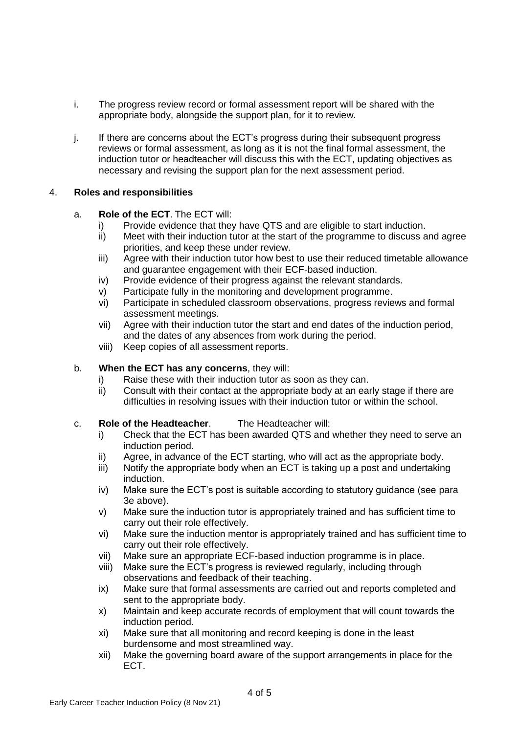- i. The progress review record or formal assessment report will be shared with the appropriate body, alongside the support plan, for it to review.
- j. If there are concerns about the ECT's progress during their subsequent progress reviews or formal assessment, as long as it is not the final formal assessment, the induction tutor or headteacher will discuss this with the ECT, updating objectives as necessary and revising the support plan for the next assessment period.

### 4. **Roles and responsibilities**

### a. **Role of the ECT**. The ECT will:

- i) Provide evidence that they have QTS and are eligible to start induction.
- ii) Meet with their induction tutor at the start of the programme to discuss and agree priorities, and keep these under review.
- iii) Agree with their induction tutor how best to use their reduced timetable allowance and guarantee engagement with their ECF-based induction.
- iv) Provide evidence of their progress against the relevant standards.
- v) Participate fully in the monitoring and development programme.
- vi) Participate in scheduled classroom observations, progress reviews and formal assessment meetings.
- vii) Agree with their induction tutor the start and end dates of the induction period, and the dates of any absences from work during the period.
- viii) Keep copies of all assessment reports.

### b. **When the ECT has any concerns**, they will:

- i) Raise these with their induction tutor as soon as they can.
- ii) Consult with their contact at the appropriate body at an early stage if there are difficulties in resolving issues with their induction tutor or within the school.
- c. **Role of the Headteacher**. The Headteacher will:
	- i) Check that the ECT has been awarded QTS and whether they need to serve an induction period.
	- ii) Agree, in advance of the ECT starting, who will act as the appropriate body.
	- iii) Notify the appropriate body when an ECT is taking up a post and undertaking induction.
	- iv) Make sure the ECT's post is suitable according to statutory guidance (see para 3e above).
	- v) Make sure the induction tutor is appropriately trained and has sufficient time to carry out their role effectively.
	- vi) Make sure the induction mentor is appropriately trained and has sufficient time to carry out their role effectively.
	- vii) Make sure an appropriate ECF-based induction programme is in place.
	- viii) Make sure the ECT's progress is reviewed regularly, including through observations and feedback of their teaching.
	- ix) Make sure that formal assessments are carried out and reports completed and sent to the appropriate body.
	- x) Maintain and keep accurate records of employment that will count towards the induction period.
	- xi) Make sure that all monitoring and record keeping is done in the least burdensome and most streamlined way.
	- xii) Make the governing board aware of the support arrangements in place for the ECT.